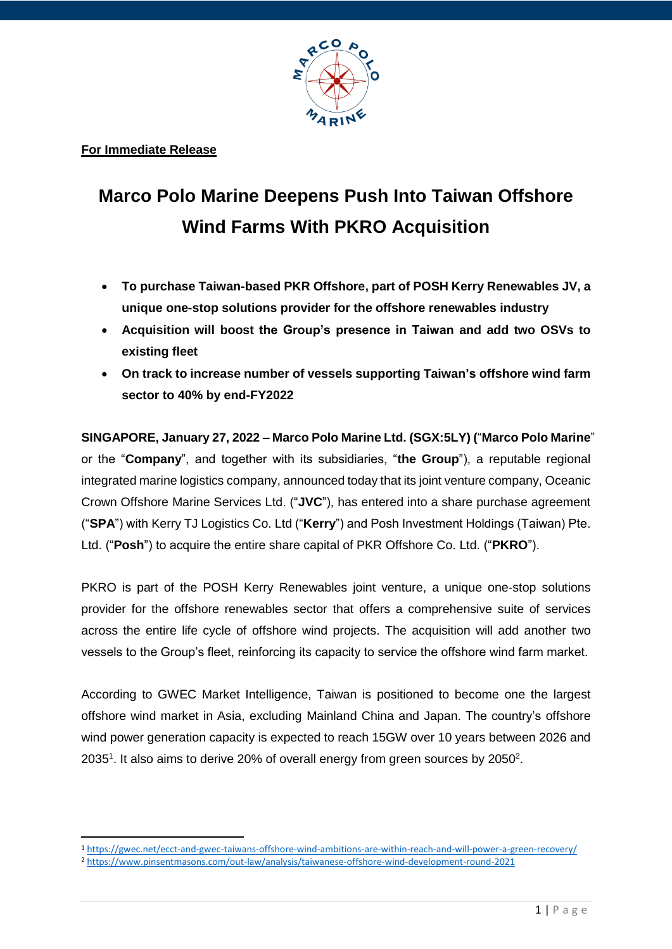

**For Immediate Release**

**.** 

## **Marco Polo Marine Deepens Push Into Taiwan Offshore Wind Farms With PKRO Acquisition**

- **To purchase Taiwan-based PKR Offshore, part of POSH Kerry Renewables JV, a unique one-stop solutions provider for the offshore renewables industry**
- **Acquisition will boost the Group's presence in Taiwan and add two OSVs to existing fleet**
- **On track to increase number of vessels supporting Taiwan's offshore wind farm sector to 40% by end-FY2022**

**SINGAPORE, January 27, 2022 – Marco Polo Marine Ltd. (SGX:5LY) (**"**Marco Polo Marine**" or the "**Company**", and together with its subsidiaries, "**the Group**"), a reputable regional integrated marine logistics company, announced today that its joint venture company, Oceanic Crown Offshore Marine Services Ltd. ("**JVC**"), has entered into a share purchase agreement ("**SPA**") with Kerry TJ Logistics Co. Ltd ("**Kerry**") and Posh Investment Holdings (Taiwan) Pte. Ltd. ("**Posh**") to acquire the entire share capital of PKR Offshore Co. Ltd. ("**PKRO**").

PKRO is part of the POSH Kerry Renewables joint venture, a unique one-stop solutions provider for the offshore renewables sector that offers a comprehensive suite of services across the entire life cycle of offshore wind projects. The acquisition will add another two vessels to the Group's fleet, reinforcing its capacity to service the offshore wind farm market.

According to GWEC Market Intelligence, Taiwan is positioned to become one the largest offshore wind market in Asia, excluding Mainland China and Japan. The country's offshore wind power generation capacity is expected to reach 15GW over 10 years between 2026 and 2035<sup>1</sup>. It also aims to derive 20% of overall energy from green sources by 2050<sup>2</sup>.

<sup>1</sup> [https://gwec.net/ecct-and-gwec-taiwans-offshore-wind-ambitions-are-within-reach-and-will-power-a-green-recovery/](about:blank)

<sup>2</sup> [https://www.pinsentmasons.com/out-law/analysis/taiwanese-offshore-wind-development-round-2021](about:blank)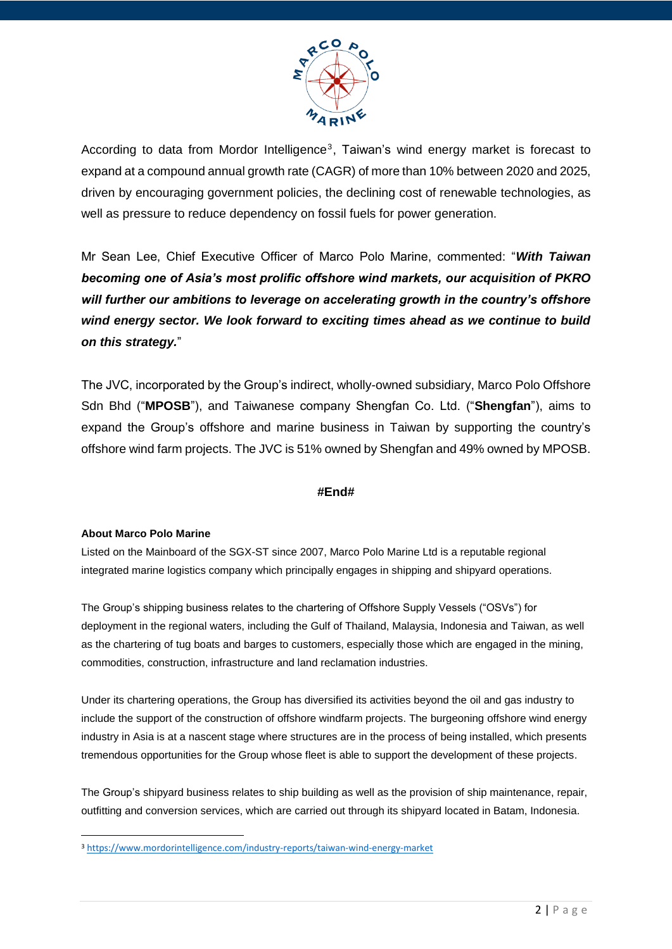

According to data from Mordor Intelligence<sup>3</sup>, Taiwan's wind energy market is forecast to expand at a compound annual growth rate (CAGR) of more than 10% between 2020 and 2025, driven by encouraging government policies, the declining cost of renewable technologies, as well as pressure to reduce dependency on fossil fuels for power generation.

Mr Sean Lee, Chief Executive Officer of Marco Polo Marine, commented: "*With Taiwan becoming one of Asia's most prolific offshore wind markets, our acquisition of PKRO will further our ambitions to leverage on accelerating growth in the country's offshore wind energy sector. We look forward to exciting times ahead as we continue to build on this strategy.*"

The JVC, incorporated by the Group's indirect, wholly-owned subsidiary, Marco Polo Offshore Sdn Bhd ("**MPOSB**"), and Taiwanese company Shengfan Co. Ltd. ("**Shengfan**"), aims to expand the Group's offshore and marine business in Taiwan by supporting the country's offshore wind farm projects. The JVC is 51% owned by Shengfan and 49% owned by MPOSB.

## **#End#**

## **About Marco Polo Marine**

**.** 

Listed on the Mainboard of the SGX-ST since 2007, Marco Polo Marine Ltd is a reputable regional integrated marine logistics company which principally engages in shipping and shipyard operations.

The Group's shipping business relates to the chartering of Offshore Supply Vessels ("OSVs") for deployment in the regional waters, including the Gulf of Thailand, Malaysia, Indonesia and Taiwan, as well as the chartering of tug boats and barges to customers, especially those which are engaged in the mining, commodities, construction, infrastructure and land reclamation industries.

Under its chartering operations, the Group has diversified its activities beyond the oil and gas industry to include the support of the construction of offshore windfarm projects. The burgeoning offshore wind energy industry in Asia is at a nascent stage where structures are in the process of being installed, which presents tremendous opportunities for the Group whose fleet is able to support the development of these projects.

The Group's shipyard business relates to ship building as well as the provision of ship maintenance, repair, outfitting and conversion services, which are carried out through its shipyard located in Batam, Indonesia.

<sup>3</sup> [https://www.mordorintelligence.com/industry-reports/taiwan-wind-energy-market](about:blank)